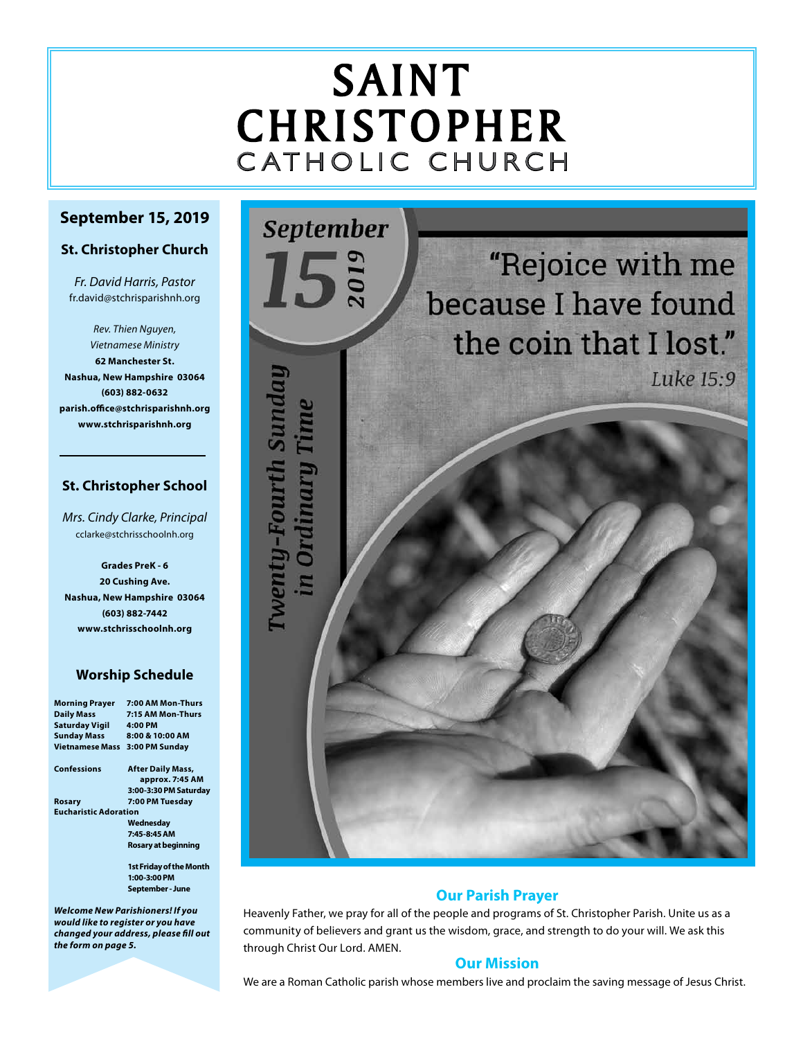# SAINT CHRISTOPHER C ATHOLIC CHURCH

# **September 15, 2019**

#### **St. Christopher Church**

*Fr. David Harris, Pastor* fr.david@stchrisparishnh.org

*Rev. Thien Nguyen, Vietnamese Ministry* **62 Manchester St. Nashua, New Hampshire 03064 (603) 882-0632 parish.office@stchrisparishnh.org www.stchrisparishnh.org**

# **St. Christopher School**

*Mrs. Cindy Clarke, Principal* cclarke@stchrisschoolnh.org

**Grades PreK - 6 20 Cushing Ave. Nashua, New Hampshire 03064 (603) 882-7442 www.stchrisschoolnh.org**

# **Worship Schedule**

| <b>Morning Prayer</b>        | 7:00 AM Mon-Thurs              |  |
|------------------------------|--------------------------------|--|
| <b>Daily Mass</b>            | 7:15 AM Mon-Thurs              |  |
| <b>Saturday Vigil</b>        | 4:00 PM                        |  |
| <b>Sunday Mass</b>           | 8:00 & 10:00 AM                |  |
| <b>Vietnamese Mass</b>       | 3:00 PM Sunday                 |  |
| Confessions                  | <b>After Daily Mass,</b>       |  |
|                              | approx. 7:45 AM                |  |
|                              | 3:00-3:30 PM Saturday          |  |
| Rosary                       | 7:00 PM Tuesday                |  |
| <b>Eucharistic Adoration</b> |                                |  |
|                              | Wednesday                      |  |
|                              | 7:45-8:45 AM                   |  |
|                              | Rosary at beginning            |  |
|                              | <b>1st Friday of the Month</b> |  |
|                              | 1:00-3:00 PM                   |  |
|                              | September - June               |  |

*Welcome New Parishioners! If you would like to register or you have changed your address, please fill out the form on page 5.*



# **Our Parish Prayer**

Heavenly Father, we pray for all of the people and programs of St. Christopher Parish. Unite us as a community of believers and grant us the wisdom, grace, and strength to do your will. We ask this through Christ Our Lord. AMEN.

# **Our Mission**

We are a Roman Catholic parish whose members live and proclaim the saving message of Jesus Christ.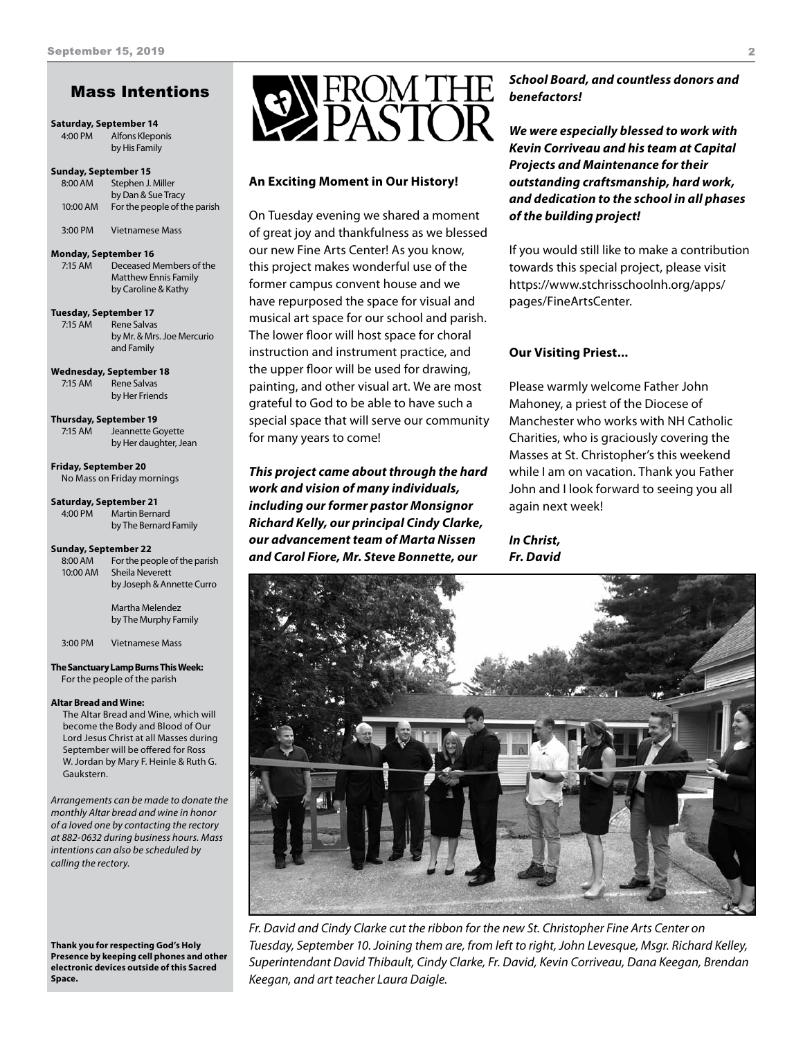# Mass Intentions

#### **Saturday, September 14**

4:00 PM Alfons Kleponis by His Family

#### **Sunday, September 15**

| 8:00 AM  | Stephen J. Miller            |
|----------|------------------------------|
|          | by Dan & Sue Tracy           |
| 10:00 AM | For the people of the parish |
|          |                              |

3:00 PM Vietnamese Mass

#### **Monday, September 16**

7:15 AM Deceased Members of the Matthew Ennis Family by Caroline & Kathy

#### **Tuesday, September 17**

7:15 AM Rene Salvas by Mr. & Mrs. Joe Mercurio and Family

**Wednesday, September 18** 7:15 AM Rene Salvas by Her Friends

**Thursday, September 19** 7:15 AM Jeannette Goyette by Her daughter, Jean

**Friday, September 20** No Mass on Friday mornings

#### **Saturday, September 21** 4:00 PM Martin Bernard by The Bernard Family

#### **Sunday, September 22**

| 8:00 AM<br>10:00 AM | For the people of the parish<br>Sheila Neverett<br>by Joseph & Annette Curro |
|---------------------|------------------------------------------------------------------------------|
|                     | Martha Melendez<br>by The Murphy Family                                      |

3:00 PM Vietnamese Mass

#### **The Sanctuary Lamp Burns This Week:** For the people of the parish

#### **Altar Bread and Wine:**

The Altar Bread and Wine, which will become the Body and Blood of Our Lord Jesus Christ at all Masses during September will be offered for Ross W. Jordan by Mary F. Heinle & Ruth G. Gaukstern.

*Arrangements can be made to donate the monthly Altar bread and wine in honor of a loved one by contacting the rectory at 882-0632 during business hours. Mass intentions can also be scheduled by calling the rectory.* 

**Thank you for respecting God's Holy Presence by keeping cell phones and other electronic devices outside of this Sacred Space.**



#### **An Exciting Moment in Our History!**

On Tuesday evening we shared a moment of great joy and thankfulness as we blessed our new Fine Arts Center! As you know, this project makes wonderful use of the former campus convent house and we have repurposed the space for visual and musical art space for our school and parish. The lower floor will host space for choral instruction and instrument practice, and the upper floor will be used for drawing, painting, and other visual art. We are most grateful to God to be able to have such a special space that will serve our community for many years to come!

*This project came about through the hard work and vision of many individuals, including our former pastor Monsignor Richard Kelly, our principal Cindy Clarke, our advancement team of Marta Nissen and Carol Fiore, Mr. Steve Bonnette, our* 

#### *School Board, and countless donors and benefactors!*

*We were especially blessed to work with Kevin Corriveau and his team at Capital Projects and Maintenance for their outstanding craftsmanship, hard work, and dedication to the school in all phases of the building project!*

If you would still like to make a contribution towards this special project, please visit https://www.stchrisschoolnh.org/apps/ pages/FineArtsCenter.

#### **Our Visiting Priest...**

Please warmly welcome Father John Mahoney, a priest of the Diocese of Manchester who works with NH Catholic Charities, who is graciously covering the Masses at St. Christopher's this weekend while I am on vacation. Thank you Father John and I look forward to seeing you all again next week!

*In Christ, Fr. David*



*Fr. David and Cindy Clarke cut the ribbon for the new St. Christopher Fine Arts Center on Tuesday, September 10. Joining them are, from left to right, John Levesque, Msgr. Richard Kelley, Superintendant David Thibault, Cindy Clarke, Fr. David, Kevin Corriveau, Dana Keegan, Brendan Keegan, and art teacher Laura Daigle.*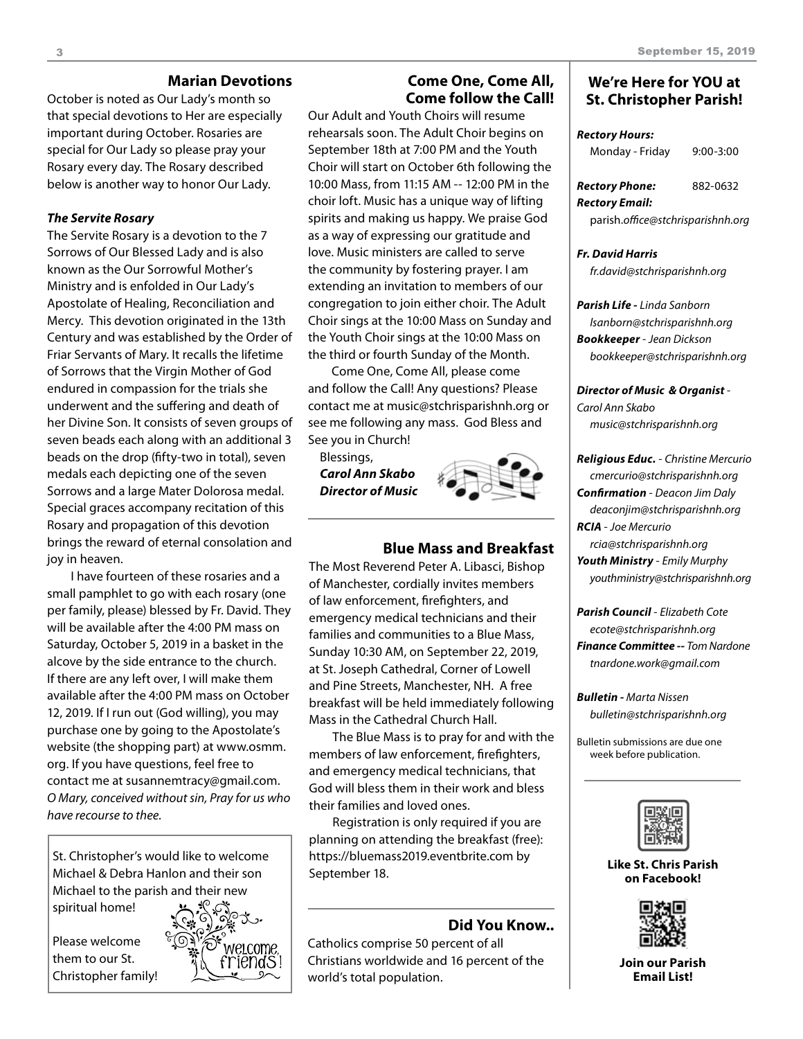#### **Marian Devotions**

October is noted as Our Lady's month so that special devotions to Her are especially important during October. Rosaries are special for Our Lady so please pray your Rosary every day. The Rosary described below is another way to honor Our Lady.

#### *The Servite Rosary*

The Servite Rosary is a devotion to the 7 Sorrows of Our Blessed Lady and is also known as the Our Sorrowful Mother's Ministry and is enfolded in Our Lady's Apostolate of Healing, Reconciliation and Mercy. This devotion originated in the 13th Century and was established by the Order of Friar Servants of Mary. It recalls the lifetime of Sorrows that the Virgin Mother of God endured in compassion for the trials she underwent and the suffering and death of her Divine Son. It consists of seven groups of seven beads each along with an additional 3 beads on the drop (fifty-two in total), seven medals each depicting one of the seven Sorrows and a large Mater Dolorosa medal. Special graces accompany recitation of this Rosary and propagation of this devotion brings the reward of eternal consolation and joy in heaven.

I have fourteen of these rosaries and a small pamphlet to go with each rosary (one per family, please) blessed by Fr. David. They will be available after the 4:00 PM mass on Saturday, October 5, 2019 in a basket in the alcove by the side entrance to the church. If there are any left over, I will make them available after the 4:00 PM mass on October 12, 2019. If I run out (God willing), you may purchase one by going to the Apostolate's website (the shopping part) at www.osmm. org. If you have questions, feel free to contact me at susannemtracy@gmail.com. *O Mary, conceived without sin, Pray for us who have recourse to thee.* 

St. Christopher's would like to welcome Michael & Debra Hanlon and their son Michael to the parish and their new spiritual home!

Please welcome them to our St. Christopher family!



#### **Come One, Come All, Come follow the Call!**

Our Adult and Youth Choirs will resume rehearsals soon. The Adult Choir begins on September 18th at 7:00 PM and the Youth Choir will start on October 6th following the 10:00 Mass, from 11:15 AM -- 12:00 PM in the choir loft. Music has a unique way of lifting spirits and making us happy. We praise God as a way of expressing our gratitude and love. Music ministers are called to serve the community by fostering prayer. I am extending an invitation to members of our congregation to join either choir. The Adult Choir sings at the 10:00 Mass on Sunday and the Youth Choir sings at the 10:00 Mass on the third or fourth Sunday of the Month.

Come One, Come All, please come and follow the Call! Any questions? Please contact me at music@stchrisparishnh.org or see me following any mass. God Bless and See you in Church!

Blessings, *Carol Ann Skabo Director of Music*



# **Blue Mass and Breakfast**

The Most Reverend Peter A. Libasci, Bishop of Manchester, cordially invites members of law enforcement, firefighters, and emergency medical technicians and their families and communities to a Blue Mass, Sunday 10:30 AM, on September 22, 2019, at St. Joseph Cathedral, Corner of Lowell and Pine Streets, Manchester, NH. A free breakfast will be held immediately following Mass in the Cathedral Church Hall.

The Blue Mass is to pray for and with the members of law enforcement, firefighters, and emergency medical technicians, that God will bless them in their work and bless their families and loved ones.

Registration is only required if you are planning on attending the breakfast (free): https://bluemass2019.eventbrite.com by September 18.

#### **Did You Know..**

Catholics comprise 50 percent of all Christians worldwide and 16 percent of the world's total population.

#### **We're Here for YOU at St. Christopher Parish!**

#### *Rectory Hours:*

| Monday - Friday                   | $9:00 - 3:00$ |  |
|-----------------------------------|---------------|--|
| Rectory Phone:                    | 882-0632      |  |
| Rectory Email:                    |               |  |
| parish.office@stchrisparishnh.org |               |  |

#### *Fr. David Harris*

*fr.david@stchrisparishnh.org*

#### *Parish Life - Linda Sanborn lsanborn@stchrisparishnh.org Bookkeeper* - *Jean Dickson bookkeeper@stchrisparishnh.org*

*Director of Music & Organist* - *Carol Ann Skabo music@stchrisparishnh.org*

#### *Religious Educ.* - *Christine Mercurio cmercurio@stchrisparishnh.org Confirmation* - *Deacon Jim Daly deaconjim@stchrisparishnh.org RCIA* - *Joe Mercurio rcia@stchrisparishnh.org Youth Ministry* - *Emily Murphy*

*youthministry@stchrisparishnh.org*

*Parish Council* - *Elizabeth Cote ecote@stchrisparishnh.org Finance Committee -- Tom Nardone tnardone.work@gmail.com*

*Bulletin - Marta Nissen bulletin@stchrisparishnh.org*

Bulletin submissions are due one week before publication.



**Like St. Chris Parish on Facebook!**



**Join our Parish Email List!**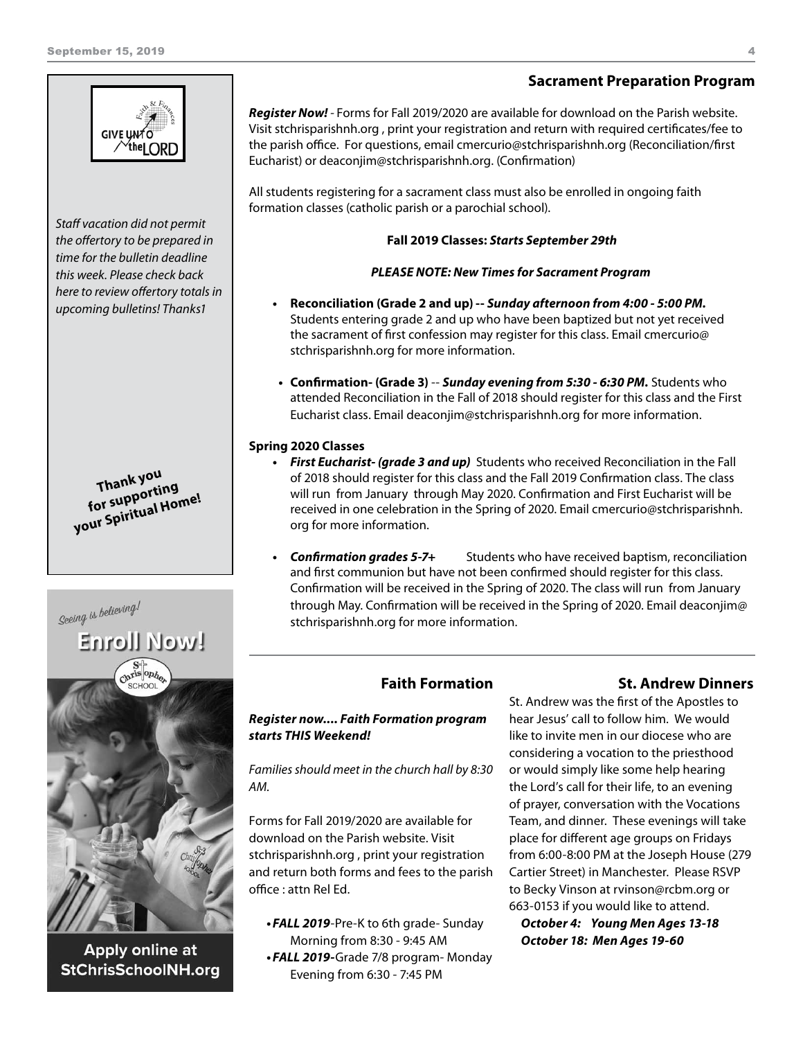# *here to review offertory totals in upcoming bulletins! Thanks1*

- **•**  *First Eucharist- (grade 3 and up)* Students who received Reconciliation in the Fall of 2018 should register for this class and the Fall 2019 Confirmation class. The class will run from January through May 2020. Confirmation and First Eucharist will be received in one celebration in the Spring of 2020. Email cmercurio@stchrisparishnh. org for more information.
- **•**  *Confirmation grades 5-7+* Students who have received baptism, reconciliation and first communion but have not been confirmed should register for this class. Confirmation will be received in the Spring of 2020. The class will run from January through May. Confirmation will be received in the Spring of 2020. Email deaconjim@ stchrisparishnh.org for more information.

# **Enroll Now!**

**Thank you**<br>for supporting **for supporting your Spiritual Home!**

Seeing is believing!

*Staff vacation did not permit the offertory to be prepared in time for the bulletin deadline this week. Please check back* 

**GIVE UNTO**  $\sqrt{\text{the}}$  LORD

Apply online at **StChrisSchoolNH.org** 

# **Faith Formation**

#### *Register now.... Faith Formation program starts THIS Weekend!*

*Families should meet in the church hall by 8:30 AM.* 

Forms for Fall 2019/2020 are available for download on the Parish website. Visit stchrisparishnh.org , print your registration and return both forms and fees to the parish office : attn Rel Ed.

• FALL 2019-Pre-K to 6th grade- Sunday Morning from 8:30 - 9:45 AM •FALL 2019-Grade 7/8 program- Monday Evening from 6:30 - 7:45 PM

#### **St. Andrew Dinners**

St. Andrew was the first of the Apostles to hear Jesus' call to follow him. We would like to invite men in our diocese who are considering a vocation to the priesthood or would simply like some help hearing the Lord's call for their life, to an evening of prayer, conversation with the Vocations Team, and dinner. These evenings will take place for different age groups on Fridays from 6:00-8:00 PM at the Joseph House (279 Cartier Street) in Manchester. Please RSVP to Becky Vinson at rvinson@rcbm.org or 663-0153 if you would like to attend.

*October 4: Young Men Ages 13-18 October 18: Men Ages 19-60*

# **Sacrament Preparation Program**

*Register Now! -* Forms for Fall 2019/2020 are available for download on the Parish website. Visit stchrisparishnh.org , print your registration and return with required certificates/fee to the parish office. For questions, email cmercurio@stchrisparishnh.org (Reconciliation/first Eucharist) or deaconjim@stchrisparishnh.org. (Confirmation)

All students registering for a sacrament class must also be enrolled in ongoing faith formation classes (catholic parish or a parochial school).

#### **Fall 2019 Classes:** *Starts September 29th*

#### *PLEASE NOTE: New Times for Sacrament Program*

- **• Reconciliation (Grade 2 and up) --** *Sunday afternoon from 4:00 5:00 PM.*  Students entering grade 2 and up who have been baptized but not yet received the sacrament of first confession may register for this class. Email cmercurio@ stchrisparishnh.org for more information.
- **• Confirmation- (Grade 3)** -- *Sunday evening from 5:30 6:30 PM.* Students who attended Reconciliation in the Fall of 2018 should register for this class and the First Eucharist class. Email deaconjim@stchrisparishnh.org for more information.

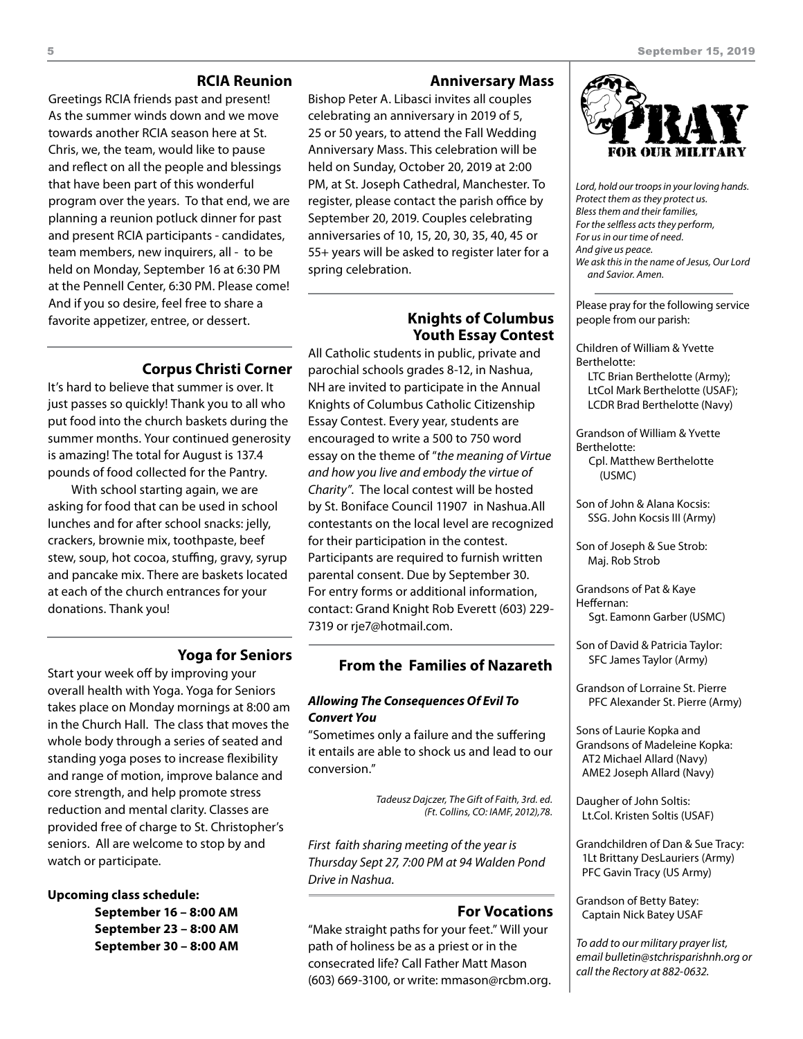#### **RCIA Reunion**

Greetings RCIA friends past and present! As the summer winds down and we move towards another RCIA season here at St. Chris, we, the team, would like to pause and reflect on all the people and blessings that have been part of this wonderful program over the years. To that end, we are planning a reunion potluck dinner for past and present RCIA participants - candidates, team members, new inquirers, all - to be held on Monday, September 16 at 6:30 PM at the Pennell Center, 6:30 PM. Please come! And if you so desire, feel free to share a favorite appetizer, entree, or dessert.

#### **Anniversary Mass**

Bishop Peter A. Libasci invites all couples celebrating an anniversary in 2019 of 5, 25 or 50 years, to attend the Fall Wedding Anniversary Mass. This celebration will be held on Sunday, October 20, 2019 at 2:00 PM, at St. Joseph Cathedral, Manchester. To register, please contact the parish office by September 20, 2019. Couples celebrating anniversaries of 10, 15, 20, 30, 35, 40, 45 or 55+ years will be asked to register later for a spring celebration.

#### **Knights of Columbus Youth Essay Contest**

All Catholic students in public, private and parochial schools grades 8-12, in Nashua, NH are invited to participate in the Annual Knights of Columbus Catholic Citizenship Essay Contest. Every year, students are encouraged to write a 500 to 750 word essay on the theme of "*the meaning of Virtue and how you live and embody the virtue of Charity"*. The local contest will be hosted by St. Boniface Council 11907 in Nashua.All contestants on the local level are recognized for their participation in the contest. Participants are required to furnish written parental consent. Due by September 30. For entry forms or additional information, contact: Grand Knight Rob Everett (603) 229- 7319 or rje7@hotmail.com.

**Corpus Christi Corner**

just passes so quickly! Thank you to all who put food into the church baskets during the summer months. Your continued generosity is amazing! The total for August is 137.4 pounds of food collected for the Pantry.

It's hard to believe that summer is over. It

With school starting again, we are asking for food that can be used in school lunches and for after school snacks: jelly, crackers, brownie mix, toothpaste, beef stew, soup, hot cocoa, stuffing, gravy, syrup and pancake mix. There are baskets located at each of the church entrances for your donations. Thank you!

#### **Yoga for Seniors**

Start your week off by improving your overall health with Yoga. Yoga for Seniors takes place on Monday mornings at 8:00 am in the Church Hall. The class that moves the whole body through a series of seated and standing yoga poses to increase flexibility and range of motion, improve balance and core strength, and help promote stress reduction and mental clarity. Classes are provided free of charge to St. Christopher's seniors. All are welcome to stop by and watch or participate.

#### **Upcoming class schedule:**

 **September 16 – 8:00 AM September 23 – 8:00 AM September 30 – 8:00 AM**

#### **From the Families of Nazareth**

#### *Allowing The Consequences Of Evil To Convert You*

"Sometimes only a failure and the suffering it entails are able to shock us and lead to our conversion."

> *Tadeusz Dajczer, The Gift of Faith, 3rd. ed. (Ft. Collins, CO: IAMF, 2012),78.*

*First faith sharing meeting of the year is Thursday Sept 27, 7:00 PM at 94 Walden Pond Drive in Nashua.*

#### **For Vocations**

"Make straight paths for your feet." Will your path of holiness be as a priest or in the consecrated life? Call Father Matt Mason (603) 669-3100, or write: mmason@rcbm.org.



*Lord, hold our troops in your loving hands. Protect them as they protect us. Bless them and their families, For the selfless acts they perform, For us in our time of need. And give us peace. We ask this in the name of Jesus, Our Lord and Savior. Amen.*

Please pray for the following service people from our parish:

Children of William & Yvette Berthelotte: LTC Brian Berthelotte (Army); LtCol Mark Berthelotte (USAF);

LCDR Brad Berthelotte (Navy)

Grandson of William & Yvette Berthelotte: Cpl. Matthew Berthelotte

(USMC)

Son of John & Alana Kocsis: SSG. John Kocsis III (Army)

Son of Joseph & Sue Strob: Maj. Rob Strob

Grandsons of Pat & Kaye Heffernan: Sgt. Eamonn Garber (USMC)

Son of David & Patricia Taylor: SFC James Taylor (Army)

Grandson of Lorraine St. Pierre PFC Alexander St. Pierre (Army)

Sons of Laurie Kopka and Grandsons of Madeleine Kopka: AT2 Michael Allard (Navy) AME2 Joseph Allard (Navy)

Daugher of John Soltis: Lt.Col. Kristen Soltis (USAF)

Grandchildren of Dan & Sue Tracy: 1Lt Brittany DesLauriers (Army) PFC Gavin Tracy (US Army)

Grandson of Betty Batey: Captain Nick Batey USAF

*To add to our military prayer list, email bulletin@stchrisparishnh.org or call the Rectory at 882-0632.*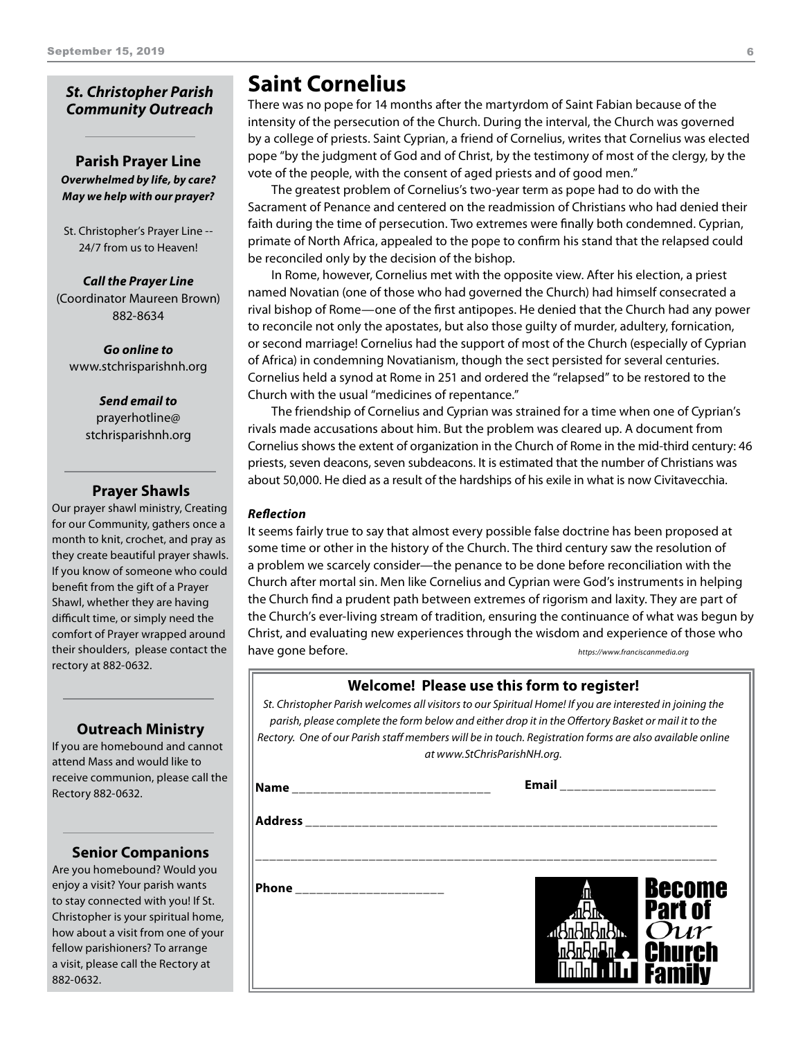#### *St. Christopher Parish Community Outreach*

#### **Parish Prayer Line** *Overwhelmed by life, by care? May we help with our prayer?*

St. Christopher's Prayer Line -- 24/7 from us to Heaven!

*Call the Prayer Line* (Coordinator Maureen Brown) 882-8634

*Go online to* www.stchrisparishnh.org

#### *Send email to* prayerhotline@ stchrisparishnh.org

#### **Prayer Shawls**

Our prayer shawl ministry, Creating for our Community, gathers once a month to knit, crochet, and pray as they create beautiful prayer shawls. If you know of someone who could benefit from the gift of a Prayer Shawl, whether they are having difficult time, or simply need the comfort of Prayer wrapped around their shoulders, please contact the rectory at 882-0632.

#### **Outreach Ministry**

If you are homebound and cannot attend Mass and would like to receive communion, please call the Rectory 882-0632.

#### **Senior Companions**

Are you homebound? Would you enjoy a visit? Your parish wants to stay connected with you! If St. Christopher is your spiritual home, how about a visit from one of your fellow parishioners? To arrange a visit, please call the Rectory at 882-0632.

# **Saint Cornelius**

There was no pope for 14 months after the martyrdom of Saint Fabian because of the intensity of the persecution of the Church. During the interval, the Church was governed by a college of priests. Saint Cyprian, a friend of Cornelius, writes that Cornelius was elected pope "by the judgment of God and of Christ, by the testimony of most of the clergy, by the vote of the people, with the consent of aged priests and of good men."

The greatest problem of Cornelius's two-year term as pope had to do with the Sacrament of Penance and centered on the readmission of Christians who had denied their faith during the time of persecution. Two extremes were finally both condemned. Cyprian, primate of North Africa, appealed to the pope to confirm his stand that the relapsed could be reconciled only by the decision of the bishop.

In Rome, however, Cornelius met with the opposite view. After his election, a priest named Novatian (one of those who had governed the Church) had himself consecrated a rival bishop of Rome—one of the first antipopes. He denied that the Church had any power to reconcile not only the apostates, but also those guilty of murder, adultery, fornication, or second marriage! Cornelius had the support of most of the Church (especially of Cyprian of Africa) in condemning Novatianism, though the sect persisted for several centuries. Cornelius held a synod at Rome in 251 and ordered the "relapsed" to be restored to the Church with the usual "medicines of repentance."

The friendship of Cornelius and Cyprian was strained for a time when one of Cyprian's rivals made accusations about him. But the problem was cleared up. A document from Cornelius shows the extent of organization in the Church of Rome in the mid-third century: 46 priests, seven deacons, seven subdeacons. It is estimated that the number of Christians was about 50,000. He died as a result of the hardships of his exile in what is now Civitavecchia.

#### *Reflection*

It seems fairly true to say that almost every possible false doctrine has been proposed at some time or other in the history of the Church. The third century saw the resolution of a problem we scarcely consider—the penance to be done before reconciliation with the Church after mortal sin. Men like Cornelius and Cyprian were God's instruments in helping the Church find a prudent path between extremes of rigorism and laxity. They are part of the Church's ever-living stream of tradition, ensuring the continuance of what was begun by Christ, and evaluating new experiences through the wisdom and experience of those who have gone before. *https://www.franciscanmedia.org*

**Welcome! Please use this form to register!**

*St. Christopher Parish welcomes all visitors to our Spiritual Home! If you are interested in joining the parish, please complete the form below and either drop it in the Offertory Basket or mail it to the Rectory. One of our Parish staff members will be in touch. Registration forms are also available online at www.StChrisParishNH.org.*

**\_\_\_\_\_\_\_\_\_\_\_\_\_\_\_\_\_\_\_\_\_\_\_\_\_\_\_\_\_\_\_\_\_\_\_\_\_\_\_\_\_\_\_\_\_\_\_\_\_\_\_\_\_\_\_\_\_\_\_\_\_\_\_\_\_**

**Address \_\_\_\_\_\_\_\_\_\_\_\_\_\_\_\_\_\_\_\_\_\_\_\_\_\_\_\_\_\_\_\_\_\_\_\_\_\_\_\_\_\_\_\_\_\_\_\_\_\_\_\_\_\_\_\_\_\_**

**Name \_\_\_\_\_\_\_\_\_\_\_\_\_\_\_\_\_\_\_\_\_\_\_\_\_\_\_\_**

**Email \_\_\_\_\_\_\_\_\_\_\_\_\_\_\_\_\_\_\_\_\_\_**

**Phone \_\_\_\_\_\_\_\_\_\_\_\_\_\_\_\_\_\_\_\_\_**